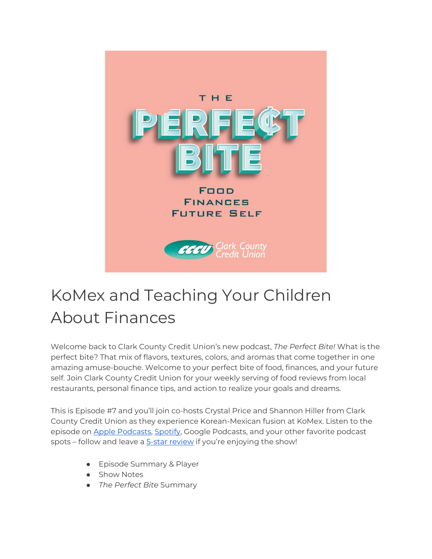

# KoMex and Teaching Your Children About Finances

Welcome back to Clark County Credit Union's new podcast, *The Perfect Bite!* What is the perfect bite? That mix of flavors, textures, colors, and aromas that come together in one amazing amuse-bouche. Welcome to your perfect bite of food, finances, and your future self. Join Clark County Credit Union for your weekly serving of food reviews from local restaurants, personal finance tips, and action to realize your goals and dreams.

This is Episode #7 and you'll join co-hosts Crystal Price and Shannon Hiller from Clark County Credit Union as they experience Korean-Mexican fusion at KoMex. Listen to the episode on **Apple Podcasts, Spotify**, Google Podcasts, and your other favorite podcast spots - follow and leave a [5-star review](https://podcasts.apple.com/us/podcast/the-perfect-bite/id1604656448) if you're enjoying the show!

- Episode Summary & Player
- Show Notes
- *The Perfect Bite* Summary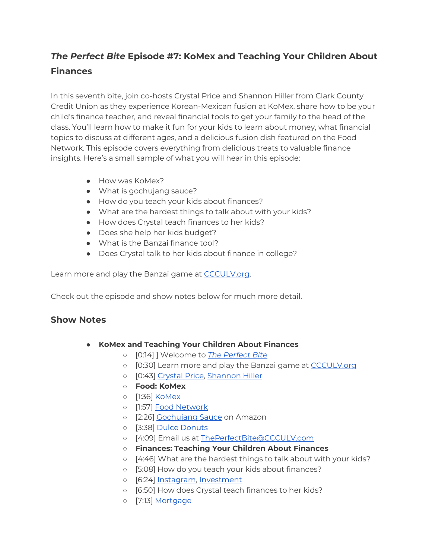## *The Perfect Bite* **Episode #7: KoMex and Teaching Your Children About Finances**

In this seventh bite, join co-hosts Crystal Price and Shannon Hiller from Clark County Credit Union as they experience Korean-Mexican fusion at KoMex, share how to be your child's finance teacher, and reveal financial tools to get your family to the head of the class. You'll learn how to make it fun for your kids to learn about money, what financial topics to discuss at different ages, and a delicious fusion dish featured on the Food Network. This episode covers everything from delicious treats to valuable finance insights. Here's a small sample of what you will hear in this episode:

- How was KoMex?
- What is gochujang sauce?
- How do you teach your kids about finances?
- What are the hardest things to talk about with your kids?
- How does Crystal teach finances to her kids?
- Does she help her kids budget?
- What is the Banzai finance tool?
- Does Crystal talk to her kids about finance in college?

Learn more and play the Banzai game at [CCCULV.org.](https://www.ccculv.org/)

Check out the episode and show notes below for much more detail.

#### **Show Notes**

- **KoMex and Teaching Your Children About Finances**
	- [0:14] ] Welcome to *[The Perfect Bite](https://www.ccculv.org/)*
	- [0:30] Learn more and play the Banzai game at [CCCULV.org](https://www.ccculv.org/)
	- [0:43] [Crystal Price, Shannon Hiller](https://www.ccculv.org/Our-Mission.aspx)
	- **Food: KoMex**
	- [1:36] [KoMex](https://www.komexexpress.com/)
	- [1:57] [Food Network](https://www.foodnetwork.com/shows/food-network-specials/episodes/las-vegas)
	- o [2:26] [Gochujang Sauce](https://www.amazon.com/gochujang/s?k=gochujang) on Amazon
	- [3:38] [Dulce Donuts](https://www.yelp.com/biz/dulce-donuts-las-vegas)
	- [4:09] Email us at [ThePerfectBite@CCCULV.com](mailto:ThePerfectBite@CCCULV.org)
	- **Finances: Teaching Your Children About Finances**
	- [4:46] What are the hardest things to talk about with your kids?
	- [5:08] How do you teach your kids about finances?
	- o [6:24] [Instagram,](https://www.instagram.com/clarkcountycu/) [Investment](http://www.investmentcentercccu.com/)
	- [6:50] How does Crystal teach finances to her kids?
	- [7:13] [Mortgage](https://www.ccculv.org/Mortgage-Loans.aspx)